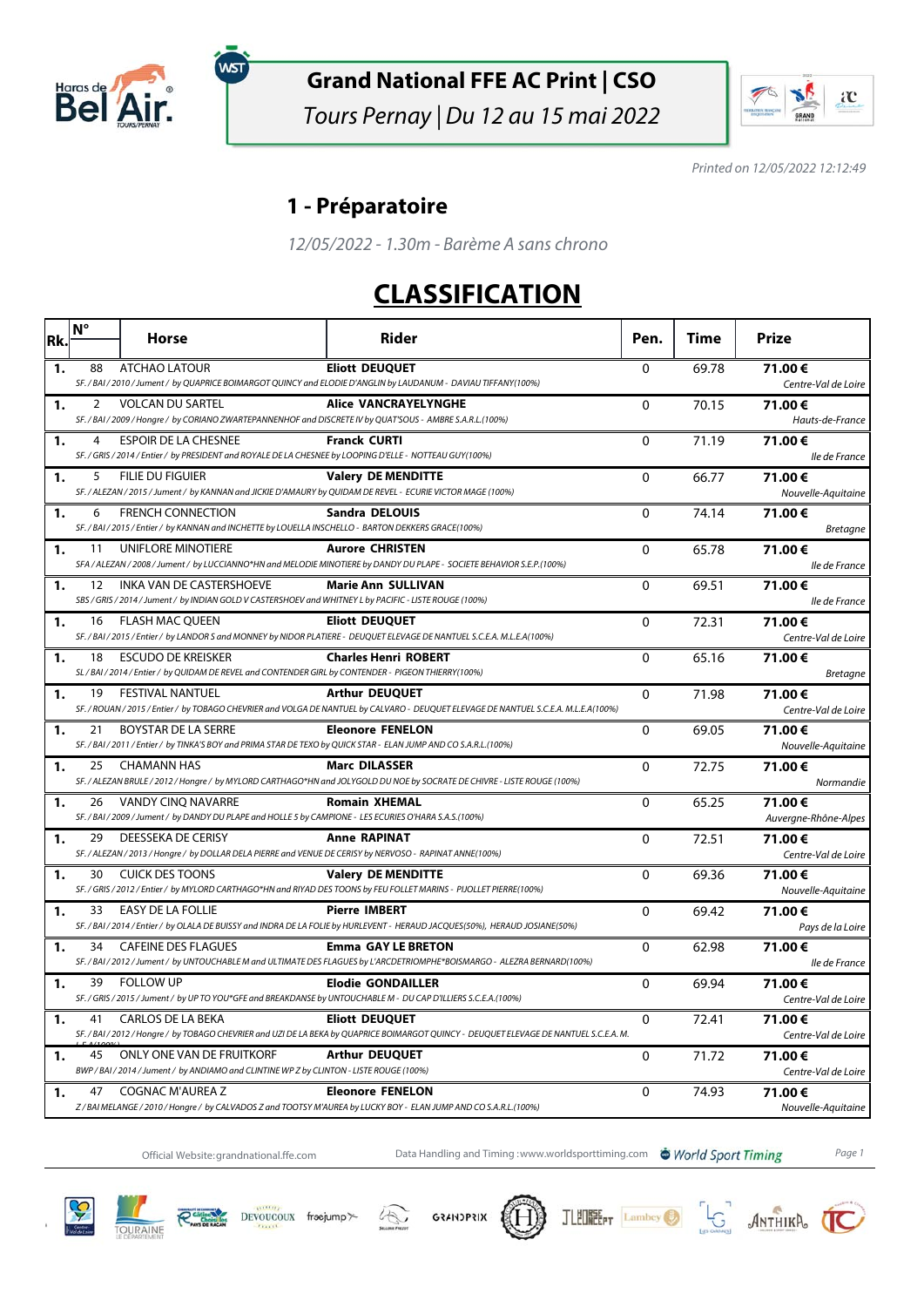

์พรา

# **Grand National FFE AC Print | CSO**

Tours Pernay | Du 12 au 15 mai 2022



Printed on 12/05/2022 12:12:49

#### **1 - Préparatoire**

12/05/2022 - 1.30m - Barème A sans chrono

#### **CLASSIFICATION**

| Rk. | $N^{\circ}$ | <b>Horse</b>                                                                                                                                    | Rider                                                                                                                                                            | Pen.         | Time  | <b>Prize</b>                   |
|-----|-------------|-------------------------------------------------------------------------------------------------------------------------------------------------|------------------------------------------------------------------------------------------------------------------------------------------------------------------|--------------|-------|--------------------------------|
| 1.  | 88          | <b>ATCHAO LATOUR</b>                                                                                                                            | <b>Eliott DEUQUET</b><br>SF. / BAI / 2010 / Jument / by QUAPRICE BOIMARGOT QUINCY and ELODIE D'ANGLIN by LAUDANUM - DAVIAU TIFFANY(100%)                         | $\mathbf 0$  | 69.78 | 71.00€<br>Centre-Val de Loire  |
| 1.  | 2           | <b>VOLCAN DU SARTEL</b><br>SF. / BAI / 2009 / Hongre / by CORIANO ZWARTEPANNENHOF and DISCRETE IV by QUAT'SOUS - AMBRE S.A.R.L.(100%)           | <b>Alice VANCRAYELYNGHE</b>                                                                                                                                      | 0            | 70.15 | 71.00€<br>Hauts-de-France      |
| 1.  | 4           | <b>ESPOIR DE LA CHESNEE</b><br>SF. / GRIS / 2014 / Entier / by PRESIDENT and ROYALE DE LA CHESNEE by LOOPING D'ELLE - NOTTEAU GUY(100%)         | <b>Franck CURTI</b>                                                                                                                                              | 0            | 71.19 | 71.00€<br>lle de France        |
| 1.  | 5           | <b>FILIE DU FIGUIER</b><br>SF. / ALEZAN / 2015 / Jument / by KANNAN and JICKIE D'AMAURY by QUIDAM DE REVEL - ECURIE VICTOR MAGE (100%)          | <b>Valery DE MENDITTE</b>                                                                                                                                        | $\mathbf{0}$ | 66.77 | 71.00€<br>Nouvelle-Aquitaine   |
| 1.  | 6           | <b>FRENCH CONNECTION</b><br>SF. / BAI / 2015 / Entier / by KANNAN and INCHETTE by LOUELLA INSCHELLO - BARTON DEKKERS GRACE(100%)                | <b>Sandra DELOUIS</b>                                                                                                                                            | $\mathbf 0$  | 74.14 | 71.00€<br><b>Bretagne</b>      |
| 1.  | 11          | UNIFLORE MINOTIERE                                                                                                                              | <b>Aurore CHRISTEN</b><br>SFA / ALEZAN / 2008 / Jument / by LUCCIANNO*HN and MELODIE MINOTIERE by DANDY DU PLAPE - SOCIETE BEHAVIOR S.E.P.(100%)                 | 0            | 65.78 | 71.00€<br>lle de France        |
| 1.  |             | 12 INKA VAN DE CASTERSHOEVE<br>SBS / GRIS / 2014 / Jument / by INDIAN GOLD V CASTERSHOEV and WHITNEY L by PACIFIC - LISTE ROUGE (100%)          | <b>Marie Ann SULLIVAN</b>                                                                                                                                        | $\mathbf{0}$ | 69.51 | 71.00€<br>lle de France        |
| 1.  | 16          | <b>FLASH MAC QUEEN</b>                                                                                                                          | <b>Eliott DEUQUET</b><br>SF. / BAI / 2015 / Entier / by LANDOR S and MONNEY by NIDOR PLATIERE - DEUQUET ELEVAGE DE NANTUEL S.C.E.A. M.L.E.A(100%)                | $\mathbf 0$  | 72.31 | 71.00€<br>Centre-Val de Loire  |
| 1.  | 18          | <b>ESCUDO DE KREISKER</b><br>SL / BAI / 2014 / Entier / by QUIDAM DE REVEL and CONTENDER GIRL by CONTENDER - PIGEON THIERRY(100%)               | <b>Charles Henri ROBERT</b>                                                                                                                                      | $\mathbf{0}$ | 65.16 | 71.00€<br><b>Bretagne</b>      |
| 1.  |             | 19 FESTIVAL NANTUEL                                                                                                                             | <b>Arthur DEUQUET</b><br>SF. / ROUAN / 2015 / Entier / by TOBAGO CHEVRIER and VOLGA DE NANTUEL by CALVARO - DEUQUET ELEVAGE DE NANTUEL S.C.E.A. M.L.E.A(100%)    | 0            | 71.98 | 71.00€<br>Centre-Val de Loire  |
| 1.  | 21          | <b>BOYSTAR DE LA SERRE</b><br>SF. / BAI / 2011 / Entier / by TINKA'S BOY and PRIMA STAR DE TEXO by QUICK STAR - ELAN JUMP AND CO S.A.R.L.(100%) | <b>Eleonore FENELON</b>                                                                                                                                          | $\pmb{0}$    | 69.05 | 71.00€<br>Nouvelle-Aquitaine   |
| 1.  | 25          | CHAMANN HAS                                                                                                                                     | <b>Marc DILASSER</b><br>SF. / ALEZAN BRULE / 2012 / Hongre / by MYLORD CARTHAGO*HN and JOLYGOLD DU NOE by SOCRATE DE CHIVRE - LISTE ROUGE (100%)                 | 0            | 72.75 | 71.00€<br>Normandie            |
| 1.  | 26          | VANDY CINQ NAVARRE<br>SF. / BAI / 2009 / Jument / by DANDY DU PLAPE and HOLLE 5 by CAMPIONE - LES ECURIES O'HARA S.A.S.(100%)                   | <b>Romain XHEMAL</b>                                                                                                                                             | $\mathbf 0$  | 65.25 | 71.00€<br>Auvergne-Rhône-Alpes |
| 1.  | 29          | DEESSEKA DE CERISY<br>SF./ALEZAN/2013/Hongre/ by DOLLAR DELA PIERRE and VENUE DE CERISY by NERVOSO - RAPINAT ANNE(100%)                         | <b>Anne RAPINAT</b>                                                                                                                                              | 0            | 72.51 | 71.00€<br>Centre-Val de Loire  |
| 1.  | 30          | <b>CUICK DES TOONS</b>                                                                                                                          | <b>Valery DE MENDITTE</b><br>SF. / GRIS / 2012 / Entier / by MYLORD CARTHAGO*HN and RIYAD DES TOONS by FEU FOLLET MARINS - PIJOLLET PIERRE(100%)                 | $\mathbf 0$  | 69.36 | 71.00€<br>Nouvelle-Aquitaine   |
| 1.  | 33          | EASY DE LA FOLLIE                                                                                                                               | <b>Pierre IMBERT</b><br>SF. / BAI / 2014 / Entier / by OLALA DE BUISSY and INDRA DE LA FOLIE by HURLEVENT - HERAUD JACQUES(50%), HERAUD JOSIANE(50%)             | $\mathbf 0$  | 69.42 | 71.00€<br>Pays de la Loire     |
| 1.  | 34          | <b>CAFEINE DES FLAGUES</b>                                                                                                                      | <b>Emma GAY LE BRETON</b><br>SF. / BAI / 2012 / Jument / by UNTOUCHABLE M and ULTIMATE DES FLAGUES by L'ARCDETRIOMPHE*BOISMARGO - ALEZRA BERNARD(100%)           | $\mathbf{0}$ | 62.98 | 71.00€<br>lle de France        |
| 1.  | 39          | <b>FOLLOW UP</b><br>SF. / GRIS / 2015 / Jument / by UP TO YOU*GFE and BREAKDANSE by UNTOUCHABLE M - DU CAP D'ILLIERS S.C.E.A. (100%)            | <b>Elodie GONDAILLER</b>                                                                                                                                         | 0            | 69.94 | 71.00€<br>Centre-Val de Loire  |
| 1.  | 41          | <b>CARLOS DE LA BEKA</b>                                                                                                                        | <b>Eliott DEUQUET</b><br>SF. / BAI / 2012 / Hongre / by TOBAGO CHEVRIER and UZI DE LA BEKA by QUAPRICE BOIMARGOT QUINCY - DEUQUET ELEVAGE DE NANTUEL S.C.E.A. M. | $\mathbf{0}$ | 72.41 | 71.00€<br>Centre-Val de Loire  |
| 1.  | 45          | ONLY ONE VAN DE FRUITKORF<br>BWP / BAI / 2014 / Jument / by ANDIAMO and CLINTINE WP Z by CLINTON - LISTE ROUGE (100%)                           | <b>Arthur DEUQUET</b>                                                                                                                                            | $\mathbf{0}$ | 71.72 | 71.00€<br>Centre-Val de Loire  |
| 1.  | 47          | COGNAC M'AUREA Z                                                                                                                                | <b>Eleonore FENELON</b><br>Z/BAI MELANGE/2010/Hongre/ by CALVADOS Z and TOOTSY M'AUREA by LUCKY BOY - ELAN JUMP AND CO S.A.R.L.(100%)                            | 0            | 74.93 | 71.00€<br>Nouvelle-Aquitaine   |

Official Website:grandnational.ffe.com Data Handling and Timing :www.worldsporttiming.com **& World Sport Timing** Page 1

JLEUNEEPT Lambey

LG ANTHIKA C









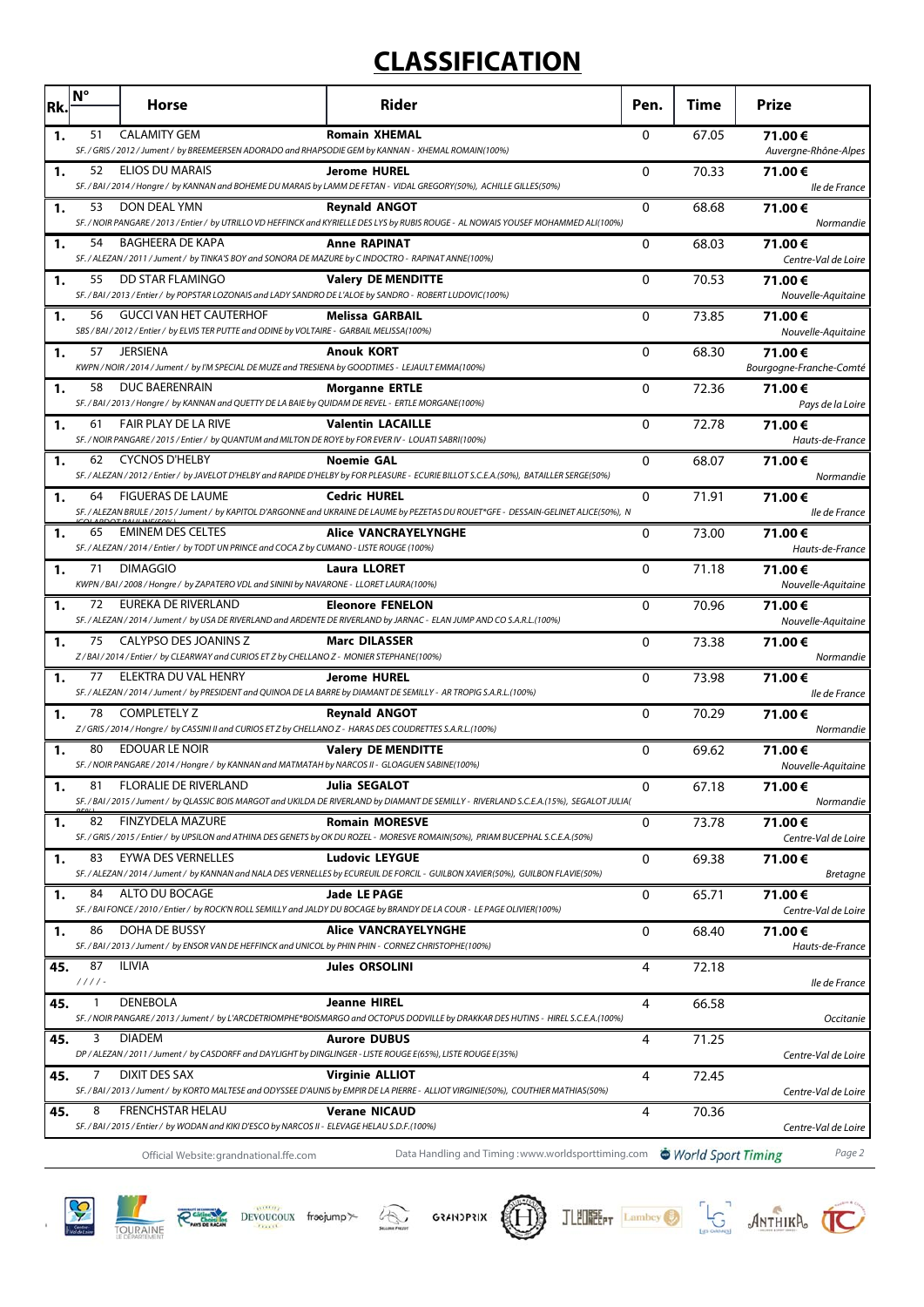# **CLASSIFICATION**

| Rk. | $N^{\circ}$    | <b>Horse</b>                                                                                                                          | Rider                                                                                                                                                          | Pen.        | <b>Time</b> | <b>Prize</b>                      |
|-----|----------------|---------------------------------------------------------------------------------------------------------------------------------------|----------------------------------------------------------------------------------------------------------------------------------------------------------------|-------------|-------------|-----------------------------------|
| 1.  | 51             | <b>CALAMITY GEM</b><br>SF. / GRIS / 2012 / Jument / by BREEMEERSEN ADORADO and RHAPSODIE GEM by KANNAN - XHEMAL ROMAIN(100%)          | <b>Romain XHEMAL</b>                                                                                                                                           | 0           | 67.05       | 71.00€<br>Auvergne-Rhône-Alpes    |
| 1.  | 52             | <b>ELIOS DU MARAIS</b>                                                                                                                | <b>Jerome HUREL</b><br>SF. / BAI / 2014 / Hongre / by KANNAN and BOHEME DU MARAIS by LAMM DE FETAN - VIDAL GREGORY(50%), ACHILLE GILLES(50%)                   | 0           | 70.33       | 71.00€<br>lle de France           |
| 1.  |                | 53 DON DEAL YMN                                                                                                                       | <b>Reynald ANGOT</b><br>SF. / NOIR PANGARE / 2013 / Entier / by UTRILLO VD HEFFINCK and KYRIELLE DES LYS by RUBIS ROUGE - AL NOWAIS YOUSEF MOHAMMED ALI(100%)  | $\mathbf 0$ | 68.68       | 71.00€<br>Normandie               |
| 1.  | 54             | <b>BAGHEERA DE KAPA</b><br>SF./ALEZAN/2011/Jument/by TINKA'S BOY and SONORA DE MAZURE by C INDOCTRO - RAPINAT ANNE(100%)              | <b>Anne RAPINAT</b>                                                                                                                                            | 0           | 68.03       | 71.00€<br>Centre-Val de Loire     |
| 1.  | 55             | <b>DD STAR FLAMINGO</b><br>SF. / BAI / 2013 / Entier / by POPSTAR LOZONAIS and LADY SANDRO DE L'ALOE by SANDRO - ROBERT LUDOVIC(100%) | <b>Valery DE MENDITTE</b>                                                                                                                                      | $\mathbf 0$ | 70.53       | 71.00€<br>Nouvelle-Aquitaine      |
| 1.  | 56             | <b>GUCCI VAN HET CAUTERHOF</b><br>SBS / BAI / 2012 / Entier / by ELVIS TER PUTTE and ODINE by VOLTAIRE - GARBAIL MELISSA(100%)        | <b>Melissa GARBAIL</b>                                                                                                                                         | $\Omega$    | 73.85       | 71.00€<br>Nouvelle-Aquitaine      |
| 1.  | 57             | <b>JERSIENA</b><br>KWPN / NOIR / 2014 / Jument / by I'M SPECIAL DE MUZE and TRESIENA by GOODTIMES - LEJAULT EMMA(100%)                | <b>Anouk KORT</b>                                                                                                                                              | 0           | 68.30       | 71.00€<br>Bourgogne-Franche-Comté |
| 1.  | 58             | DUC BAERENRAIN<br>SF./BAI/2013/Hongre/ by KANNAN and QUETTY DE LA BAIE by QUIDAM DE REVEL - ERTLE MORGANE(100%)                       | <b>Morganne ERTLE</b>                                                                                                                                          | 0           | 72.36       | 71.00€<br>Pays de la Loire        |
| 1.  | 61             | <b>FAIR PLAY DE LA RIVE</b><br>SF. / NOIR PANGARE / 2015 / Entier / by QUANTUM and MILTON DE ROYE by FOR EVER IV - LOUATI SABRI(100%) | <b>Valentin LACAILLE</b>                                                                                                                                       | 0           | 72.78       | 71.00€<br>Hauts-de-France         |
| 1.  | 62             | <b>CYCNOS D'HELBY</b>                                                                                                                 | <b>Noemie GAL</b><br>SF. / ALEZAN / 2012 / Entier / by JAVELOT D'HELBY and RAPIDE D'HELBY by FOR PLEASURE - ECURIE BILLOT S.C.E.A.(50%), BATAILLER SERGE(50%)  | 0           | 68.07       | 71.00€<br>Normandie               |
| 1.  | 64             | <b>FIGUERAS DE LAUME</b>                                                                                                              | <b>Cedric HUREL</b><br>SF. / ALEZAN BRULE/2015 / Jument / by KAPITOL D'ARGONNE and UKRAINE DE LAUME by PEZETAS DU ROUET*GFE - DESSAIN-GELINET ALICE(50%), N    | 0           | 71.91       | 71.00€<br>lle de France           |
| 1.  | 65             | <b>EMINEM DES CELTES</b><br>SF./ALEZAN/2014/Entier/ by TODT UN PRINCE and COCA Z by CUMANO - LISTE ROUGE (100%)                       | <b>Alice VANCRAYELYNGHE</b>                                                                                                                                    | 0           | 73.00       | 71.00€<br>Hauts-de-France         |
| 1.  | 71             | <b>DIMAGGIO</b><br>KWPN / BAI / 2008 / Hongre / by ZAPATERO VDL and SININI by NAVARONE - LLORET LAURA(100%)                           | <b>Laura LLORET</b>                                                                                                                                            | 0           | 71.18       | 71.00€<br>Nouvelle-Aquitaine      |
| 1.  | 72             | EUREKA DE RIVERLAND                                                                                                                   | <b>Eleonore FENELON</b><br>SF. / ALEZAN / 2014 / Jument / by USA DE RIVERLAND and ARDENTE DE RIVERLAND by JARNAC - ELAN JUMP AND CO S.A.R.L.(100%)             | 0           | 70.96       | 71.00€<br>Nouvelle-Aquitaine      |
| 1.  | 75             | CALYPSO DES JOANINS Z<br>Z/BAI/2014/Entier/ by CLEARWAY and CURIOS ET Z by CHELLANO Z - MONIER STEPHANE(100%)                         | <b>Marc DILASSER</b>                                                                                                                                           | $\Omega$    | 73.38       | 71.00€<br>Normandie               |
| 1.  | 77             | ELEKTRA DU VAL HENRY                                                                                                                  | <b>Jerome HUREL</b><br>SF. / ALEZAN / 2014 / Jument / by PRESIDENT and QUINOA DE LA BARRE by DIAMANT DE SEMILLY - AR TROPIG S.A.R.L.(100%)                     | 0           | 73.98       | 71.00€<br>lle de France           |
| 1.  | 78             | <b>COMPLETELY Z</b><br>Z/GRIS/2014/Hongre/ by CASSINI II and CURIOS ET Z by CHELLANO Z - HARAS DES COUDRETTES S.A.R.L.(100%)          | <b>Reynald ANGOT</b>                                                                                                                                           | 0           | 70.29       | 71.00€<br>Normandie               |
| 1.  | 80             | EDOUAR LE NOIR<br>SF./NOIR PANGARE/2014/Hongre/ by KANNAN and MATMATAH by NARCOS II - GLOAGUEN SABINE(100%)                           | <b>Valery DE MENDITTE</b>                                                                                                                                      | 0           | 69.62       | 71.00€<br>Nouvelle-Aquitaine      |
| 1.  | 81             | <b>FLORALIE DE RIVERLAND</b>                                                                                                          | Julia SEGALOT<br>SF. / BAI / 2015 / Jument / by QLASSIC BOIS MARGOT and UKILDA DE RIVERLAND by DIAMANT DE SEMILLY - RIVERLAND S.C.E.A.(15%), SEGALOT JULIA(    | 0           | 67.18       | 71.00€<br>Normandie               |
| 1.  | 82             | <b>FINZYDELA MAZURE</b>                                                                                                               | <b>Romain MORESVE</b><br>SF. / GRIS / 2015 / Entier / by UPSILON and ATHINA DES GENETS by OK DU ROZEL - MORESVE ROMAIN(50%), PRIAM BUCEPHAL S.C.E.A.(50%)      | 0           | 73.78       | 71.00€<br>Centre-Val de Loire     |
| 1.  | 83             | EYWA DES VERNELLES                                                                                                                    | <b>Ludovic LEYGUE</b><br>SF. / ALEZAN / 2014 / Jument / by KANNAN and NALA DES VERNELLES by ECUREUIL DE FORCIL - GUILBON XAVIER(50%), GUILBON FLAVIE(50%)      | 0           | 69.38       | 71.00€<br><b>Bretagne</b>         |
| 1.  | 84             | ALTO DU BOCAGE                                                                                                                        | Jade LE PAGE<br>SF. / BAI FONCE / 2010 / Entier / by ROCK'N ROLL SEMILLY and JALDY DU BOCAGE by BRANDY DE LA COUR - LE PAGE OLIVIER(100%)                      | 0           | 65.71       | 71.00€<br>Centre-Val de Loire     |
| 1.  | 86             | DOHA DE BUSSY<br>SF./BAI/2013/Jument/ by ENSOR VAN DE HEFFINCK and UNICOL by PHIN PHIN - CORNEZ CHRISTOPHE(100%)                      | <b>Alice VANCRAYELYNGHE</b>                                                                                                                                    | 0           | 68.40       | 71.00€<br>Hauts-de-France         |
| 45. | 87<br>$1111 -$ | ILIVIA                                                                                                                                | <b>Jules ORSOLINI</b>                                                                                                                                          | 4           | 72.18       | lle de France                     |
| 45. | 1              | <b>DENEBOLA</b>                                                                                                                       | <b>Jeanne HIREL</b><br>SF. / NOIR PANGARE / 2013 / Jument / by L'ARCDETRIOMPHE*BOISMARGO and OCTOPUS DODVILLE by DRAKKAR DES HUTINS - HIREL S.C.E.A. (100%)    | 4           | 66.58       | Occitanie                         |
| 45. | 3              | <b>DIADEM</b><br>DP / ALEZAN / 2011 / Jument / by CASDORFF and DAYLIGHT by DINGLINGER - LISTE ROUGE E(65%), LISTE ROUGE E(35%)        | <b>Aurore DUBUS</b>                                                                                                                                            | 4           | 71.25       | Centre-Val de Loire               |
| 45. | 7              | DIXIT DES SAX                                                                                                                         | <b>Virginie ALLIOT</b><br>SF. / BAI / 2013 / Jument / by KORTO MALTESE and ODYSSEE D'AUNIS by EMPIR DE LA PIERRE - ALLIOT VIRGINIE(50%), COUTHIER MATHIAS(50%) | 4           | 72.45       | Centre-Val de Loire               |
| 45. | 8              | FRENCHSTAR HELAU<br>SF./BAI/2015/Entier/ by WODAN and KIKI D'ESCO by NARCOS II - ELEVAGE HELAU S.D.F.(100%)                           | <b>Verane NICAUD</b>                                                                                                                                           | 4           | 70.36       | Centre-Val de Loire               |
|     |                | Official Website: grandnational.ffe.com                                                                                               | Data Handling and Timing: www.worldsporttiming.com World Sport Timing                                                                                          |             |             | Page 2                            |











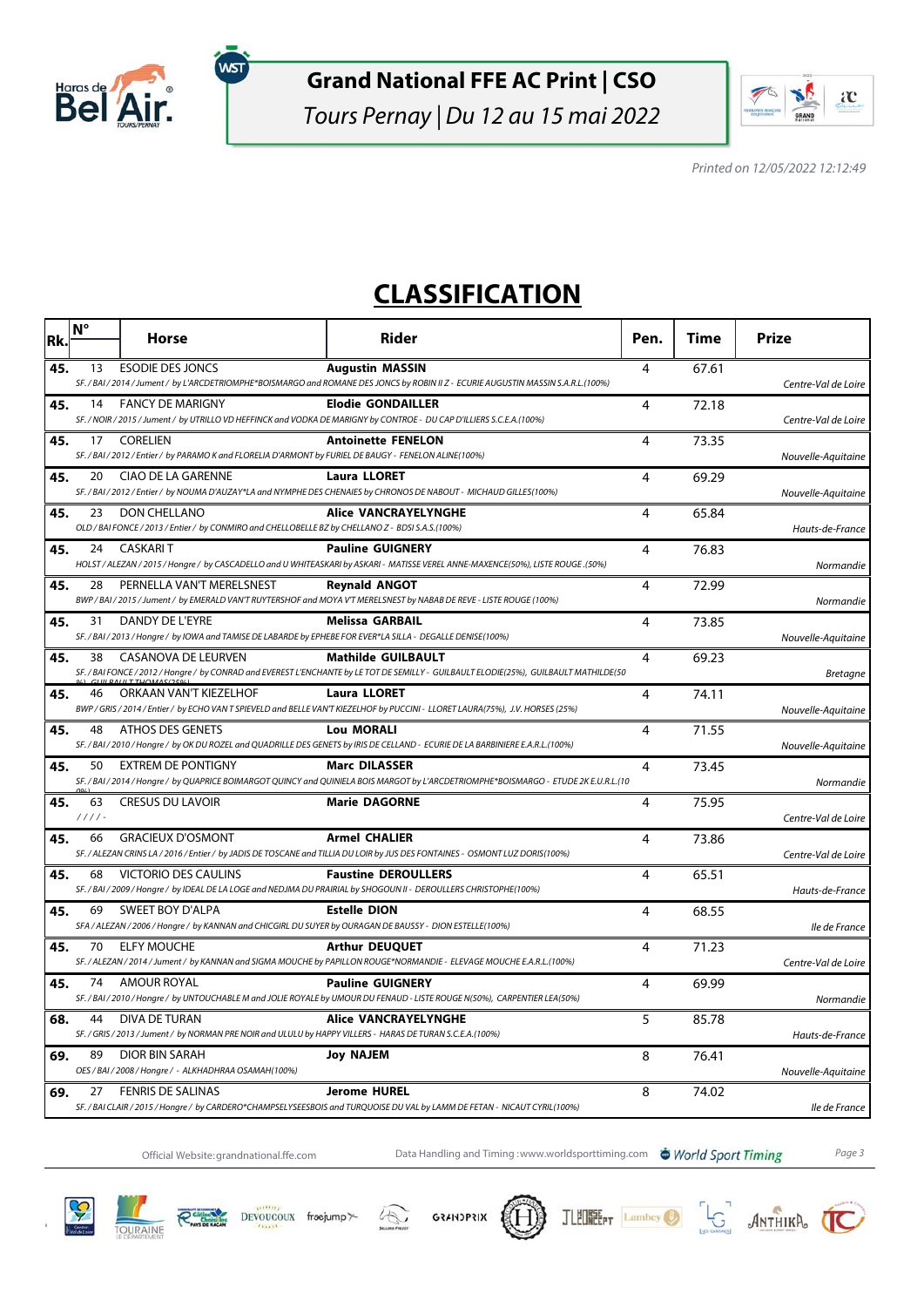

ัพรา

# **Grand National FFE AC Print | CSO**

Tours Pernay | Du 12 au 15 mai 2022



Printed on 12/05/2022 12:12:49

# **CLASSIFICATION**

| Rk. | Ν°             | <b>Horse</b>                                                                                                                    | Rider                                                                                                                                                               | Pen. | Time  | Prize               |
|-----|----------------|---------------------------------------------------------------------------------------------------------------------------------|---------------------------------------------------------------------------------------------------------------------------------------------------------------------|------|-------|---------------------|
| 45. | 13             | <b>ESODIE DES JONCS</b>                                                                                                         | <b>Augustin MASSIN</b><br>SF. / BAI / 2014 / Jument / by L'ARCDETRIOMPHE*BOISMARGO and ROMANE DES JONCS by ROBIN II Z - ECURIE AUGUSTIN MASSIN S.A.R.L.(100%)       | 4    | 67.61 | Centre-Val de Loire |
| 45. | 14             | FANCY DE MARIGNY                                                                                                                | <b>Elodie GONDAILLER</b><br>SF. / NOIR / 2015 / Jument / by UTRILLO VD HEFFINCK and VODKA DE MARIGNY by CONTROE - DU CAP D'ILLIERS S.C.E.A.(100%)                   | 4    | 72.18 | Centre-Val de Loire |
| 45. | 17             | <b>CORELIEN</b><br>SF./BAI/2012/Entier/ by PARAMO K and FLORELIA D'ARMONT by FURIEL DE BAUGY - FENELON ALINE(100%)              | <b>Antoinette FENELON</b>                                                                                                                                           | 4    | 73.35 | Nouvelle-Aquitaine  |
| 45. | 20             | CIAO DE LA GARENNE                                                                                                              | <b>Laura LLORET</b><br>SF. / BAI / 2012 / Entier / by NOUMA D'AUZAY*LA and NYMPHE DES CHENAIES by CHRONOS DE NABOUT - MICHAUD GILLES(100%)                          | 4    | 69.29 | Nouvelle-Aquitaine  |
| 45. | 23             | <b>DON CHELLANO</b><br>OLD / BAI FONCE / 2013 / Entier / by CONMIRO and CHELLOBELLE BZ by CHELLANO Z - BDSI S.A.S.(100%)        | <b>Alice VANCRAYELYNGHE</b>                                                                                                                                         | 4    | 65.84 | Hauts-de-France     |
| 45. | 24             | <b>CASKARIT</b>                                                                                                                 | <b>Pauline GUIGNERY</b><br>HOLST / ALEZAN / 2015 / Hongre / by CASCADELLO and U WHITEASKARI by ASKARI - MATISSE VEREL ANNE-MAXENCE(50%), LISTE ROUGE .(50%)         | 4    | 76.83 | Normandie           |
| 45. | 28             | PERNELLA VAN'T MERELSNEST                                                                                                       | <b>Reynald ANGOT</b><br>BWP / BAI / 2015 / Jument / by EMERALD VAN'T RUYTERSHOF and MOYA V'T MERELSNEST by NABAB DE REVE - LISTE ROUGE (100%)                       | 4    | 72.99 | Normandie           |
| 45. | 31             | DANDY DE L'EYRE<br>SF. / BAI / 2013 / Hongre / by IOWA and TAMISE DE LABARDE by EPHEBE FOR EVER*LA SILLA - DEGALLE DENISE(100%) | <b>Melissa GARBAIL</b>                                                                                                                                              | 4    | 73.85 | Nouvelle-Aquitaine  |
| 45. | 38             | <b>CASANOVA DE LEURVEN</b>                                                                                                      | <b>Mathilde GUILBAULT</b><br>SF. / BAI FONCE / 2012 / Hongre / by CONRAD and EVEREST L'ENCHANTE by LE TOT DE SEMILLY - GUILBAULT ELODIE(25%), GUILBAULT MATHILDE(50 | 4    | 69.23 | <b>Bretagne</b>     |
| 45. |                | 46 ORKAAN VAN'T KIEZELHOF                                                                                                       | <b>Laura LLORET</b><br>BWP / GRIS / 2014 / Entier / by ECHO VAN T SPIEVELD and BELLE VAN'T KIEZELHOF by PUCCINI - LLORET LAURA(75%), J.V. HORSES (25%)              | 4    | 74.11 | Nouvelle-Aquitaine  |
| 45. | 48             | <b>ATHOS DES GENETS</b>                                                                                                         | <b>Lou MORALI</b><br>SF. / BAI / 2010 / Hongre / by OK DU ROZEL and QUADRILLE DES GENETS by IRIS DE CELLAND - ECURIE DE LA BARBINIERE E.A.R.L. (100%)               | 4    | 71.55 | Nouvelle-Aquitaine  |
| 45. | 50             | <b>EXTREM DE PONTIGNY</b>                                                                                                       | <b>Marc DILASSER</b><br>SF. / BAI / 2014 / Hongre / by QUAPRICE BOIMARGOT QUINCY and QUINIELA BOIS MARGOT by L'ARCDETRIOMPHE*BOISMARGO - ETUDE 2K E.U.R.L.(10       | 4    | 73.45 | Normandie           |
| 45. | 63<br>$1111 -$ | <b>CRESUS DU LAVOIR</b>                                                                                                         | <b>Marie DAGORNE</b>                                                                                                                                                | 4    | 75.95 | Centre-Val de Loire |
| 45. | 66             | <b>GRACIEUX D'OSMONT</b>                                                                                                        | <b>Armel CHALIER</b><br>SF. / ALEZAN CRINS LA / 2016 / Entier / by JADIS DE TOSCANE and TILLIA DU LOIR by JUS DES FONTAINES - OSMONT LUZ DORIS(100%)                | 4    | 73.86 | Centre-Val de Loire |
| 45. | 68             | VICTORIO DES CAULINS                                                                                                            | <b>Faustine DEROULLERS</b><br>SF. / BAI / 2009 / Hongre / by IDEAL DE LA LOGE and NEDJMA DU PRAIRIAL by SHOGOUN II - DEROULLERS CHRISTOPHE(100%)                    | 4    | 65.51 | Hauts-de-France     |
| 45. | 69             | SWEET BOY D'ALPA<br>SFA / ALEZAN / 2006 / Hongre / by KANNAN and CHICGIRL DU SUYER by OURAGAN DE BAUSSY - DION ESTELLE(100%)    | <b>Estelle DION</b>                                                                                                                                                 | 4    | 68.55 | lle de France       |
| 45. | 70             | <b>ELFY MOUCHE</b>                                                                                                              | <b>Arthur DEUQUET</b><br>SF. / ALEZAN / 2014 / Jument / by KANNAN and SIGMA MOUCHE by PAPILLON ROUGE*NORMANDIE - ELEVAGE MOUCHE E.A.R.L.(100%)                      | 4    | 71.23 | Centre-Val de Loire |
| 45. | 74             | <b>AMOUR ROYAL</b>                                                                                                              | <b>Pauline GUIGNERY</b><br>SF. / BAI / 2010 / Hongre / by UNTOUCHABLE M and JOLIE ROYALE by UMOUR DU FENAUD - LISTE ROUGE N(50%), CARPENTIER LEA(50%)               | 4    | 69.99 | Normandie           |
| 68. | 44             | DIVA DE TURAN<br>SF. / GRIS / 2013 / Jument / by NORMAN PRE NOIR and ULULU by HAPPY VILLERS - HARAS DE TURAN S.C.E.A.(100%)     | <b>Alice VANCRAYELYNGHE</b>                                                                                                                                         | 5    | 85.78 | Hauts-de-France     |
| 69. | 89             | DIOR BIN SARAH<br>OES / BAI / 2008 / Hongre / - ALKHADHRAA OSAMAH(100%)                                                         | <b>Joy NAJEM</b>                                                                                                                                                    | 8    | 76.41 | Nouvelle-Aquitaine  |
| 69. | 27             | <b>FENRIS DE SALINAS</b>                                                                                                        | <b>Jerome HUREL</b><br>SF. / BAI CLAIR / 2015 / Hongre / by CARDERO*CHAMPSELYSEESBOIS and TURQUOISE DU VAL by LAMM DE FETAN - NICAUT CYRIL(100%)                    | 8    | 74.02 | lle de France       |

 $42$ 

**GRANDPRIX** 

Official Website:grandnational.ffe.com Data Handling and Timing :www.worldsporttiming.com World Sport Timing Page 3

JLEUNEFT Lambey

LG ANTHIKA CO